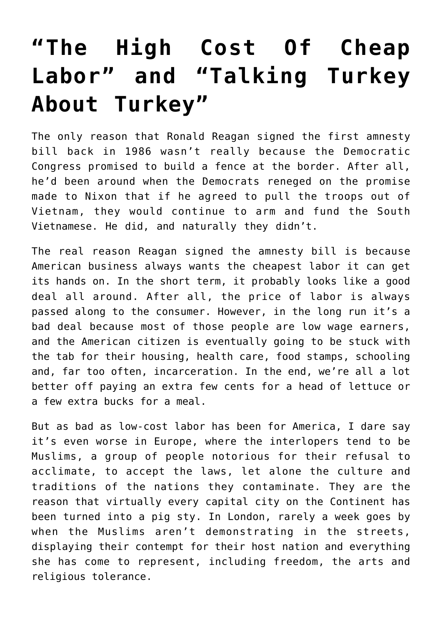## **["The High Cost Of Cheap](https://bernardgoldberg.com/template-91/) [Labor" and "Talking Turkey](https://bernardgoldberg.com/template-91/) [About Turkey"](https://bernardgoldberg.com/template-91/)**

The only reason that Ronald Reagan signed the first amnesty bill back in 1986 wasn't really because the Democratic Congress promised to build a fence at the border. After all, he'd been around when the Democrats reneged on the promise made to Nixon that if he agreed to pull the troops out of Vietnam, they would continue to arm and fund the South Vietnamese. He did, and naturally they didn't.

The real reason Reagan signed the amnesty bill is because American business always wants the cheapest labor it can get its hands on. In the short term, it probably looks like a good deal all around. After all, the price of labor is always passed along to the consumer. However, in the long run it's a bad deal because most of those people are low wage earners, and the American citizen is eventually going to be stuck with the tab for their housing, health care, food stamps, schooling and, far too often, incarceration. In the end, we're all a lot better off paying an extra few cents for a head of lettuce or a few extra bucks for a meal.

But as bad as low-cost labor has been for America, I dare say it's even worse in Europe, where the interlopers tend to be Muslims, a group of people notorious for their refusal to acclimate, to accept the laws, let alone the culture and traditions of the nations they contaminate. They are the reason that virtually every capital city on the Continent has been turned into a pig sty. In London, rarely a week goes by when the Muslims aren't demonstrating in the streets, displaying their contempt for their host nation and everything she has come to represent, including freedom, the arts and religious tolerance.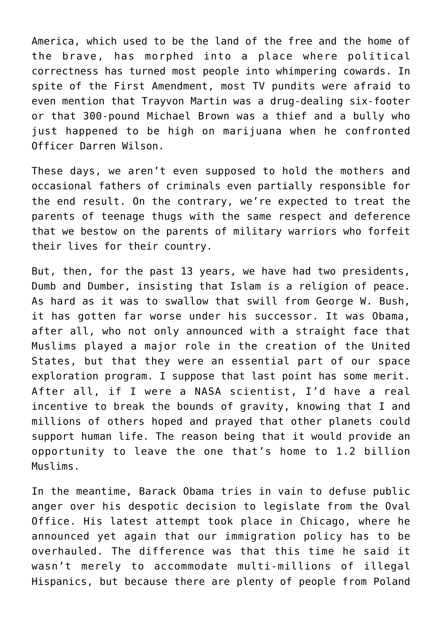America, which used to be the land of the free and the home of the brave, has morphed into a place where political correctness has turned most people into whimpering cowards. In spite of the First Amendment, most TV pundits were afraid to even mention that Trayvon Martin was a drug-dealing six-footer or that 300-pound Michael Brown was a thief and a bully who just happened to be high on marijuana when he confronted Officer Darren Wilson.

These days, we aren't even supposed to hold the mothers and occasional fathers of criminals even partially responsible for the end result. On the contrary, we're expected to treat the parents of teenage thugs with the same respect and deference that we bestow on the parents of military warriors who forfeit their lives for their country.

But, then, for the past 13 years, we have had two presidents, Dumb and Dumber, insisting that Islam is a religion of peace. As hard as it was to swallow that swill from George W. Bush, it has gotten far worse under his successor. It was Obama, after all, who not only announced with a straight face that Muslims played a major role in the creation of the United States, but that they were an essential part of our space exploration program. I suppose that last point has some merit. After all, if I were a NASA scientist, I'd have a real incentive to break the bounds of gravity, knowing that I and millions of others hoped and prayed that other planets could support human life. The reason being that it would provide an opportunity to leave the one that's home to 1.2 billion Muslims.

In the meantime, Barack Obama tries in vain to defuse public anger over his despotic decision to legislate from the Oval Office. His latest attempt took place in Chicago, where he announced yet again that our immigration policy has to be overhauled. The difference was that this time he said it wasn't merely to accommodate multi-millions of illegal Hispanics, but because there are plenty of people from Poland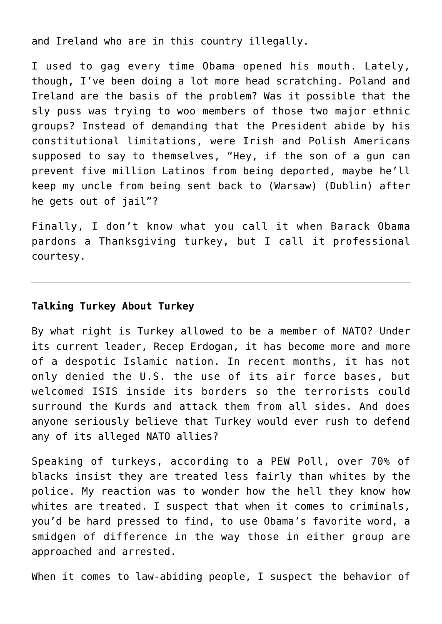and Ireland who are in this country illegally.

I used to gag every time Obama opened his mouth. Lately, though, I've been doing a lot more head scratching. Poland and Ireland are the basis of the problem? Was it possible that the sly puss was trying to woo members of those two major ethnic groups? Instead of demanding that the President abide by his constitutional limitations, were Irish and Polish Americans supposed to say to themselves, "Hey, if the son of a gun can prevent five million Latinos from being deported, maybe he'll keep my uncle from being sent back to (Warsaw) (Dublin) after he gets out of jail"?

Finally, I don't know what you call it when Barack Obama pardons a Thanksgiving turkey, but I call it professional courtesy.

## **Talking Turkey About Turkey**

By what right is Turkey allowed to be a member of NATO? Under its current leader, Recep Erdogan, it has become more and more of a despotic Islamic nation. In recent months, it has not only denied the U.S. the use of its air force bases, but welcomed ISIS inside its borders so the terrorists could surround the Kurds and attack them from all sides. And does anyone seriously believe that Turkey would ever rush to defend any of its alleged NATO allies?

Speaking of turkeys, according to a PEW Poll, over 70% of blacks insist they are treated less fairly than whites by the police. My reaction was to wonder how the hell they know how whites are treated. I suspect that when it comes to criminals, you'd be hard pressed to find, to use Obama's favorite word, a smidgen of difference in the way those in either group are approached and arrested.

When it comes to law-abiding people, I suspect the behavior of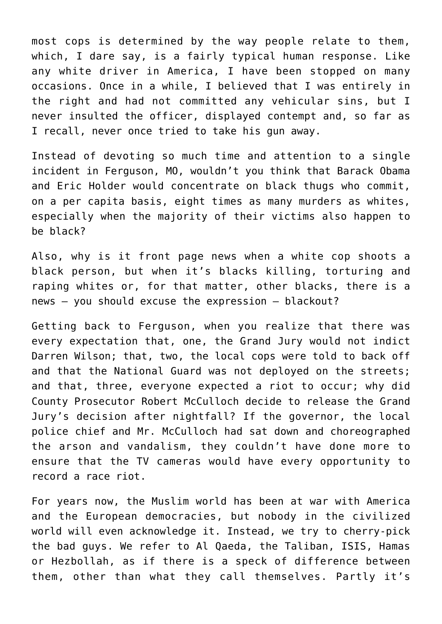most cops is determined by the way people relate to them, which, I dare say, is a fairly typical human response. Like any white driver in America, I have been stopped on many occasions. Once in a while, I believed that I was entirely in the right and had not committed any vehicular sins, but I never insulted the officer, displayed contempt and, so far as I recall, never once tried to take his gun away.

Instead of devoting so much time and attention to a single incident in Ferguson, MO, wouldn't you think that Barack Obama and Eric Holder would concentrate on black thugs who commit, on a per capita basis, eight times as many murders as whites, especially when the majority of their victims also happen to be black?

Also, why is it front page news when a white cop shoots a black person, but when it's blacks killing, torturing and raping whites or, for that matter, other blacks, there is a news – you should excuse the expression – blackout?

Getting back to Ferguson, when you realize that there was every expectation that, one, the Grand Jury would not indict Darren Wilson; that, two, the local cops were told to back off and that the National Guard was not deployed on the streets; and that, three, everyone expected a riot to occur; why did County Prosecutor Robert McCulloch decide to release the Grand Jury's decision after nightfall? If the governor, the local police chief and Mr. McCulloch had sat down and choreographed the arson and vandalism, they couldn't have done more to ensure that the TV cameras would have every opportunity to record a race riot.

For years now, the Muslim world has been at war with America and the European democracies, but nobody in the civilized world will even acknowledge it. Instead, we try to cherry-pick the bad guys. We refer to Al Qaeda, the Taliban, ISIS, Hamas or Hezbollah, as if there is a speck of difference between them, other than what they call themselves. Partly it's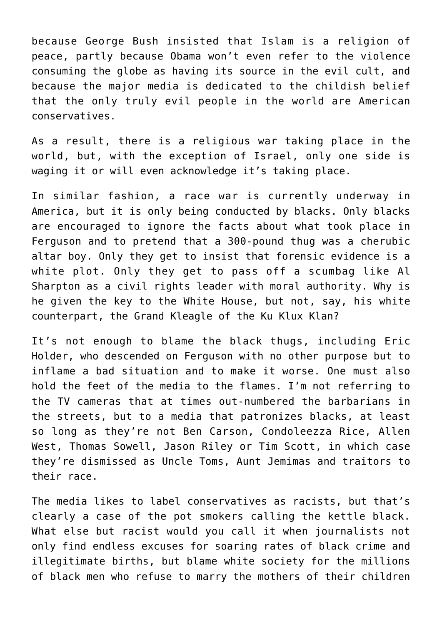because George Bush insisted that Islam is a religion of peace, partly because Obama won't even refer to the violence consuming the globe as having its source in the evil cult, and because the major media is dedicated to the childish belief that the only truly evil people in the world are American conservatives.

As a result, there is a religious war taking place in the world, but, with the exception of Israel, only one side is waging it or will even acknowledge it's taking place.

In similar fashion, a race war is currently underway in America, but it is only being conducted by blacks. Only blacks are encouraged to ignore the facts about what took place in Ferguson and to pretend that a 300-pound thug was a cherubic altar boy. Only they get to insist that forensic evidence is a white plot. Only they get to pass off a scumbag like Al Sharpton as a civil rights leader with moral authority. Why is he given the key to the White House, but not, say, his white counterpart, the Grand Kleagle of the Ku Klux Klan?

It's not enough to blame the black thugs, including Eric Holder, who descended on Ferguson with no other purpose but to inflame a bad situation and to make it worse. One must also hold the feet of the media to the flames. I'm not referring to the TV cameras that at times out-numbered the barbarians in the streets, but to a media that patronizes blacks, at least so long as they're not Ben Carson, Condoleezza Rice, Allen West, Thomas Sowell, Jason Riley or Tim Scott, in which case they're dismissed as Uncle Toms, Aunt Jemimas and traitors to their race.

The media likes to label conservatives as racists, but that's clearly a case of the pot smokers calling the kettle black. What else but racist would you call it when journalists not only find endless excuses for soaring rates of black crime and illegitimate births, but blame white society for the millions of black men who refuse to marry the mothers of their children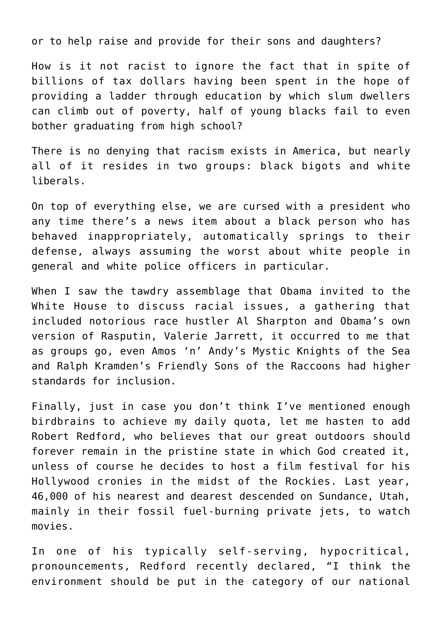or to help raise and provide for their sons and daughters?

How is it not racist to ignore the fact that in spite of billions of tax dollars having been spent in the hope of providing a ladder through education by which slum dwellers can climb out of poverty, half of young blacks fail to even bother graduating from high school?

There is no denying that racism exists in America, but nearly all of it resides in two groups: black bigots and white liberals.

On top of everything else, we are cursed with a president who any time there's a news item about a black person who has behaved inappropriately, automatically springs to their defense, always assuming the worst about white people in general and white police officers in particular.

When I saw the tawdry assemblage that Obama invited to the White House to discuss racial issues, a gathering that included notorious race hustler Al Sharpton and Obama's own version of Rasputin, Valerie Jarrett, it occurred to me that as groups go, even Amos 'n' Andy's Mystic Knights of the Sea and Ralph Kramden's Friendly Sons of the Raccoons had higher standards for inclusion.

Finally, just in case you don't think I've mentioned enough birdbrains to achieve my daily quota, let me hasten to add Robert Redford, who believes that our great outdoors should forever remain in the pristine state in which God created it, unless of course he decides to host a film festival for his Hollywood cronies in the midst of the Rockies. Last year, 46,000 of his nearest and dearest descended on Sundance, Utah, mainly in their fossil fuel-burning private jets, to watch movies.

In one of his typically self-serving, hypocritical, pronouncements, Redford recently declared, "I think the environment should be put in the category of our national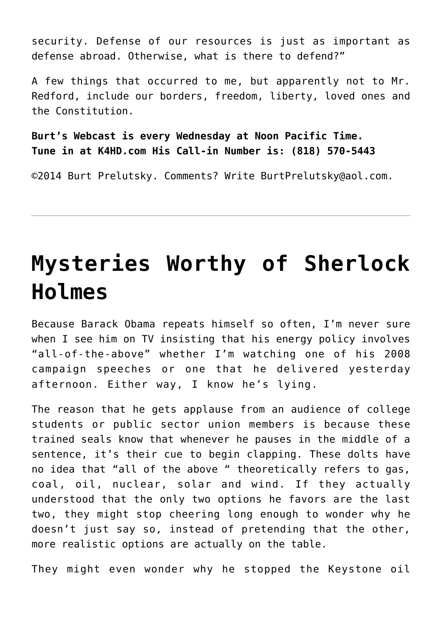security. Defense of our resources is just as important as defense abroad. Otherwise, what is there to defend?"

A few things that occurred to me, but apparently not to Mr. Redford, include our borders, freedom, liberty, loved ones and the Constitution.

**Burt's Webcast is every Wednesday at Noon Pacific Time. Tune in at K4HD.com His Call-in Number is: (818) 570-5443**

©2014 [Burt Prelutsky](mailto:BurtPrelutsky@aol.com/). Comments? Write [BurtPrelutsky@aol.com](mailto:BurtPrelutsky@aol.com/).

## **[Mysteries Worthy of Sherlock](https://bernardgoldberg.com/mysteries-worthy-of-sherlock-holmes/) [Holmes](https://bernardgoldberg.com/mysteries-worthy-of-sherlock-holmes/)**

Because Barack Obama repeats himself so often, I'm never sure when I see him on TV insisting that his energy policy involves "all-of-the-above" whether I'm watching one of his 2008 campaign speeches or one that he delivered yesterday afternoon. Either way, I know he's lying.

The reason that he gets applause from an audience of college students or public sector union members is because these trained seals know that whenever he pauses in the middle of a sentence, it's their cue to begin clapping. These dolts have no idea that "all of the above " theoretically refers to gas, coal, oil, nuclear, solar and wind. If they actually understood that the only two options he favors are the last two, they might stop cheering long enough to wonder why he doesn't just say so, instead of pretending that the other, more realistic options are actually on the table.

They might even wonder why he stopped the Keystone oil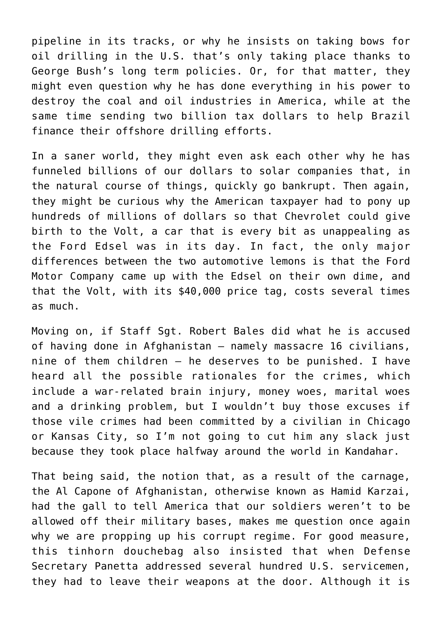pipeline in its tracks, or why he insists on taking bows for oil drilling in the U.S. that's only taking place thanks to George Bush's long term policies. Or, for that matter, they might even question why he has done everything in his power to destroy the coal and oil industries in America, while at the same time sending two billion tax dollars to help Brazil finance their offshore drilling efforts.

In a saner world, they might even ask each other why he has funneled billions of our dollars to solar companies that, in the natural course of things, quickly go bankrupt. Then again, they might be curious why the American taxpayer had to pony up hundreds of millions of dollars so that Chevrolet could give birth to the Volt, a car that is every bit as unappealing as the Ford Edsel was in its day. In fact, the only major differences between the two automotive lemons is that the Ford Motor Company came up with the Edsel on their own dime, and that the Volt, with its \$40,000 price tag, costs several times as much.

Moving on, if Staff Sgt. Robert Bales did what he is accused of having done in Afghanistan — namely massacre 16 civilians, nine of them children — he deserves to be punished. I have heard all the possible rationales for the crimes, which include a war-related brain injury, money woes, marital woes and a drinking problem, but I wouldn't buy those excuses if those vile crimes had been committed by a civilian in Chicago or Kansas City, so I'm not going to cut him any slack just because they took place halfway around the world in Kandahar.

That being said, the notion that, as a result of the carnage, the Al Capone of Afghanistan, otherwise known as Hamid Karzai, had the gall to tell America that our soldiers weren't to be allowed off their military bases, makes me question once again why we are propping up his corrupt regime. For good measure, this tinhorn douchebag also insisted that when Defense Secretary Panetta addressed several hundred U.S. servicemen, they had to leave their weapons at the door. Although it is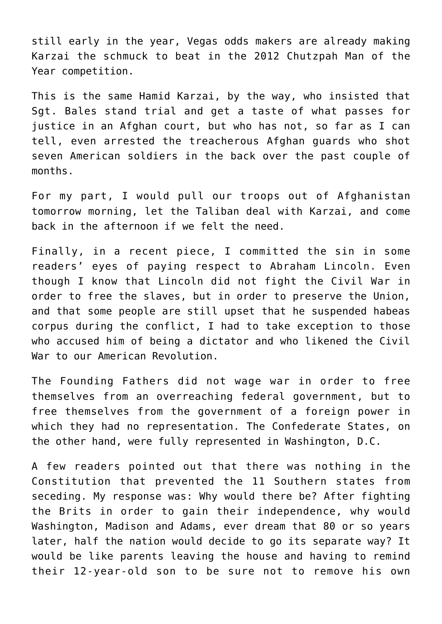still early in the year, Vegas odds makers are already making Karzai the schmuck to beat in the 2012 Chutzpah Man of the Year competition.

This is the same Hamid Karzai, by the way, who insisted that Sgt. Bales stand trial and get a taste of what passes for justice in an Afghan court, but who has not, so far as I can tell, even arrested the treacherous Afghan guards who shot seven American soldiers in the back over the past couple of months.

For my part, I would pull our troops out of Afghanistan tomorrow morning, let the Taliban deal with Karzai, and come back in the afternoon if we felt the need.

Finally, in a recent piece, I committed the sin in some readers' eyes of paying respect to Abraham Lincoln. Even though I know that Lincoln did not fight the Civil War in order to free the slaves, but in order to preserve the Union, and that some people are still upset that he suspended habeas corpus during the conflict, I had to take exception to those who accused him of being a dictator and who likened the Civil War to our American Revolution.

The Founding Fathers did not wage war in order to free themselves from an overreaching federal government, but to free themselves from the government of a foreign power in which they had no representation. The Confederate States, on the other hand, were fully represented in Washington, D.C.

A few readers pointed out that there was nothing in the Constitution that prevented the 11 Southern states from seceding. My response was: Why would there be? After fighting the Brits in order to gain their independence, why would Washington, Madison and Adams, ever dream that 80 or so years later, half the nation would decide to go its separate way? It would be like parents leaving the house and having to remind their 12-year-old son to be sure not to remove his own